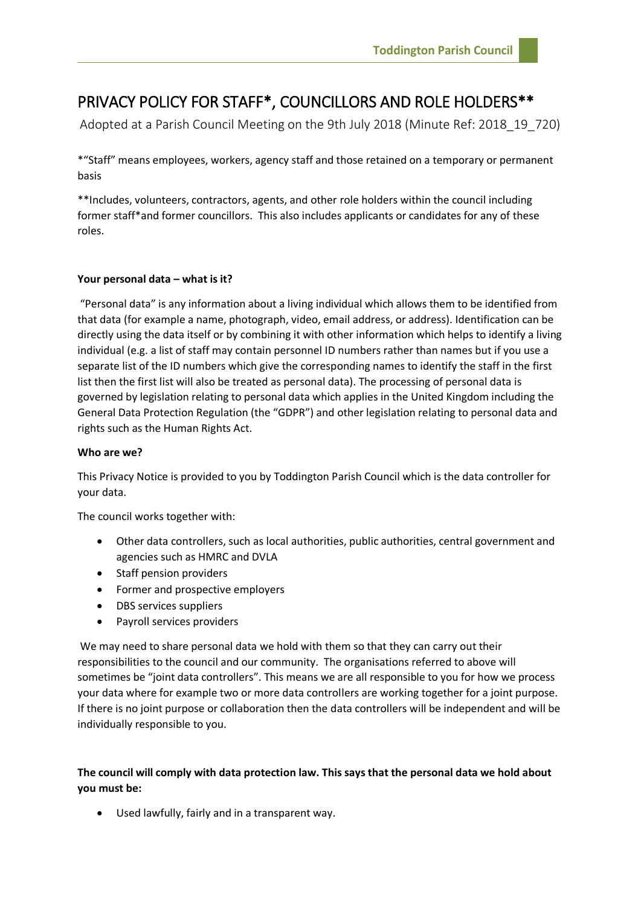# PRIVACY POLICY FOR STAFF\*, COUNCILLORS AND ROLE HOLDERS\*\*

Adopted at a Parish Council Meeting on the 9th July 2018 (Minute Ref: 2018\_19\_720)

\*"Staff" means employees, workers, agency staff and those retained on a temporary or permanent basis

\*\*Includes, volunteers, contractors, agents, and other role holders within the council including former staff\*and former councillors. This also includes applicants or candidates for any of these roles.

# **Your personal data – what is it?**

"Personal data" is any information about a living individual which allows them to be identified from that data (for example a name, photograph, video, email address, or address). Identification can be directly using the data itself or by combining it with other information which helps to identify a living individual (e.g. a list of staff may contain personnel ID numbers rather than names but if you use a separate list of the ID numbers which give the corresponding names to identify the staff in the first list then the first list will also be treated as personal data). The processing of personal data is governed by legislation relating to personal data which applies in the United Kingdom including the General Data Protection Regulation (the "GDPR") and other legislation relating to personal data and rights such as the Human Rights Act.

## **Who are we?**

This Privacy Notice is provided to you by Toddington Parish Council which is the data controller for your data.

The council works together with:

- Other data controllers, such as local authorities, public authorities, central government and agencies such as HMRC and DVLA
- Staff pension providers
- Former and prospective employers
- DBS services suppliers
- Payroll services providers

We may need to share personal data we hold with them so that they can carry out their responsibilities to the council and our community. The organisations referred to above will sometimes be "joint data controllers". This means we are all responsible to you for how we process your data where for example two or more data controllers are working together for a joint purpose. If there is no joint purpose or collaboration then the data controllers will be independent and will be individually responsible to you.

**The council will comply with data protection law. This says that the personal data we hold about you must be:** 

Used lawfully, fairly and in a transparent way.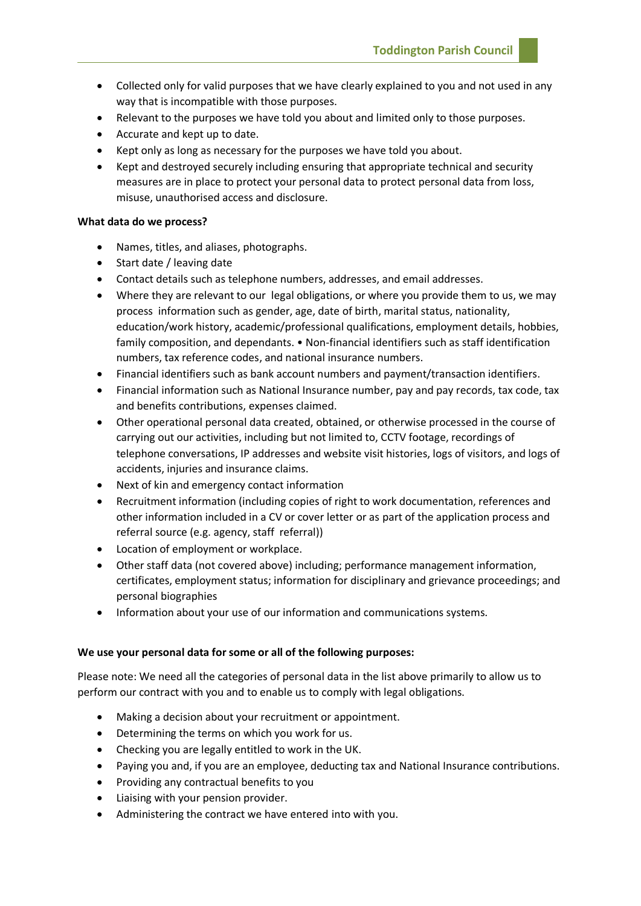- Collected only for valid purposes that we have clearly explained to you and not used in any way that is incompatible with those purposes.
- Relevant to the purposes we have told you about and limited only to those purposes.
- Accurate and kept up to date.
- Kept only as long as necessary for the purposes we have told you about.
- Kept and destroyed securely including ensuring that appropriate technical and security measures are in place to protect your personal data to protect personal data from loss, misuse, unauthorised access and disclosure.

#### **What data do we process?**

- Names, titles, and aliases, photographs.
- Start date / leaving date
- Contact details such as telephone numbers, addresses, and email addresses.
- Where they are relevant to our legal obligations, or where you provide them to us, we may process information such as gender, age, date of birth, marital status, nationality, education/work history, academic/professional qualifications, employment details, hobbies, family composition, and dependants. • Non-financial identifiers such as staff identification numbers, tax reference codes, and national insurance numbers.
- Financial identifiers such as bank account numbers and payment/transaction identifiers.
- Financial information such as National Insurance number, pay and pay records, tax code, tax and benefits contributions, expenses claimed.
- Other operational personal data created, obtained, or otherwise processed in the course of carrying out our activities, including but not limited to, CCTV footage, recordings of telephone conversations, IP addresses and website visit histories, logs of visitors, and logs of accidents, injuries and insurance claims.
- Next of kin and emergency contact information
- Recruitment information (including copies of right to work documentation, references and other information included in a CV or cover letter or as part of the application process and referral source (e.g. agency, staff referral))
- Location of employment or workplace.
- Other staff data (not covered above) including; performance management information, certificates, employment status; information for disciplinary and grievance proceedings; and personal biographies
- Information about your use of our information and communications systems.

# **We use your personal data for some or all of the following purposes:**

Please note: We need all the categories of personal data in the list above primarily to allow us to perform our contract with you and to enable us to comply with legal obligations.

- Making a decision about your recruitment or appointment.
- Determining the terms on which you work for us.
- Checking you are legally entitled to work in the UK.
- Paying you and, if you are an employee, deducting tax and National Insurance contributions.
- Providing any contractual benefits to you
- Liaising with your pension provider.
- Administering the contract we have entered into with you.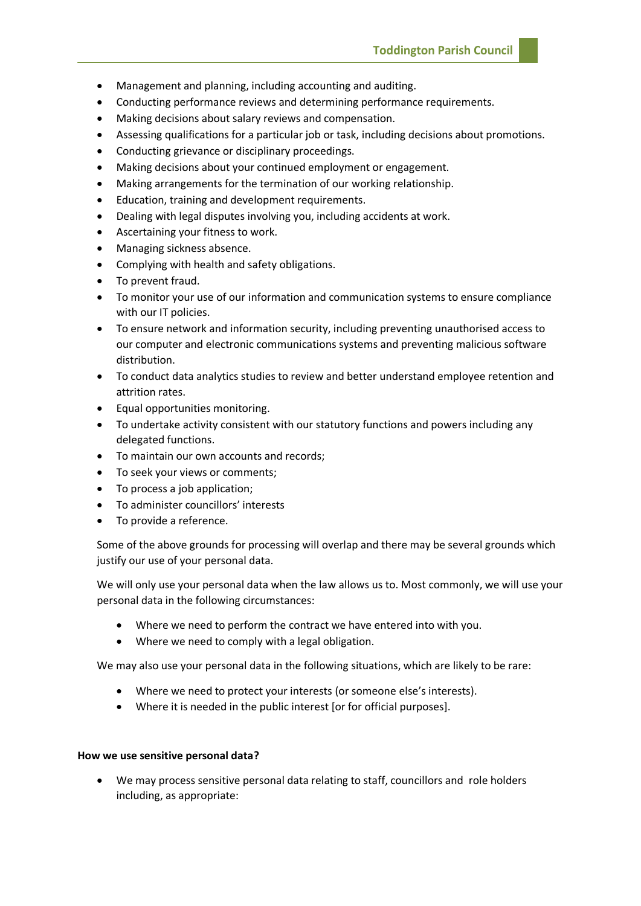- Management and planning, including accounting and auditing.
- Conducting performance reviews and determining performance requirements.
- Making decisions about salary reviews and compensation.
- Assessing qualifications for a particular job or task, including decisions about promotions.
- Conducting grievance or disciplinary proceedings.
- Making decisions about your continued employment or engagement.
- Making arrangements for the termination of our working relationship.
- Education, training and development requirements.
- Dealing with legal disputes involving you, including accidents at work.
- Ascertaining your fitness to work.
- Managing sickness absence.
- Complying with health and safety obligations.
- To prevent fraud.
- To monitor your use of our information and communication systems to ensure compliance with our IT policies.
- To ensure network and information security, including preventing unauthorised access to our computer and electronic communications systems and preventing malicious software distribution.
- To conduct data analytics studies to review and better understand employee retention and attrition rates.
- Equal opportunities monitoring.
- To undertake activity consistent with our statutory functions and powers including any delegated functions.
- To maintain our own accounts and records;
- To seek your views or comments;
- To process a job application;
- To administer councillors' interests
- To provide a reference.

Some of the above grounds for processing will overlap and there may be several grounds which justify our use of your personal data.

We will only use your personal data when the law allows us to. Most commonly, we will use your personal data in the following circumstances:

- Where we need to perform the contract we have entered into with you.
- Where we need to comply with a legal obligation.

We may also use your personal data in the following situations, which are likely to be rare:

- Where we need to protect your interests (or someone else's interests).
- Where it is needed in the public interest [or for official purposes].

#### **How we use sensitive personal data?**

• We may process sensitive personal data relating to staff, councillors and role holders including, as appropriate: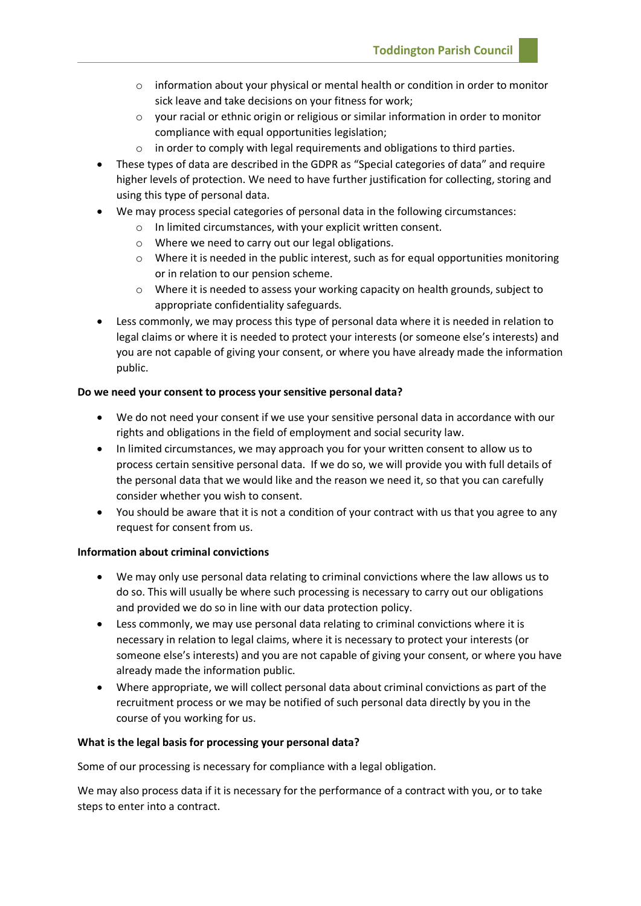- $\circ$  information about your physical or mental health or condition in order to monitor sick leave and take decisions on your fitness for work;
- o your racial or ethnic origin or religious or similar information in order to monitor compliance with equal opportunities legislation;
- $\circ$  in order to comply with legal requirements and obligations to third parties.
- These types of data are described in the GDPR as "Special categories of data" and require higher levels of protection. We need to have further justification for collecting, storing and using this type of personal data.
- We may process special categories of personal data in the following circumstances:
	- o In limited circumstances, with your explicit written consent.
	- o Where we need to carry out our legal obligations.
	- $\circ$  Where it is needed in the public interest, such as for equal opportunities monitoring or in relation to our pension scheme.
	- $\circ$  Where it is needed to assess your working capacity on health grounds, subject to appropriate confidentiality safeguards.
- Less commonly, we may process this type of personal data where it is needed in relation to legal claims or where it is needed to protect your interests (or someone else's interests) and you are not capable of giving your consent, or where you have already made the information public.

## **Do we need your consent to process your sensitive personal data?**

- We do not need your consent if we use your sensitive personal data in accordance with our rights and obligations in the field of employment and social security law.
- In limited circumstances, we may approach you for your written consent to allow us to process certain sensitive personal data. If we do so, we will provide you with full details of the personal data that we would like and the reason we need it, so that you can carefully consider whether you wish to consent.
- You should be aware that it is not a condition of your contract with us that you agree to any request for consent from us.

#### **Information about criminal convictions**

- We may only use personal data relating to criminal convictions where the law allows us to do so. This will usually be where such processing is necessary to carry out our obligations and provided we do so in line with our data protection policy.
- Less commonly, we may use personal data relating to criminal convictions where it is necessary in relation to legal claims, where it is necessary to protect your interests (or someone else's interests) and you are not capable of giving your consent, or where you have already made the information public.
- Where appropriate, we will collect personal data about criminal convictions as part of the recruitment process or we may be notified of such personal data directly by you in the course of you working for us.

#### **What is the legal basis for processing your personal data?**

Some of our processing is necessary for compliance with a legal obligation.

We may also process data if it is necessary for the performance of a contract with you, or to take steps to enter into a contract.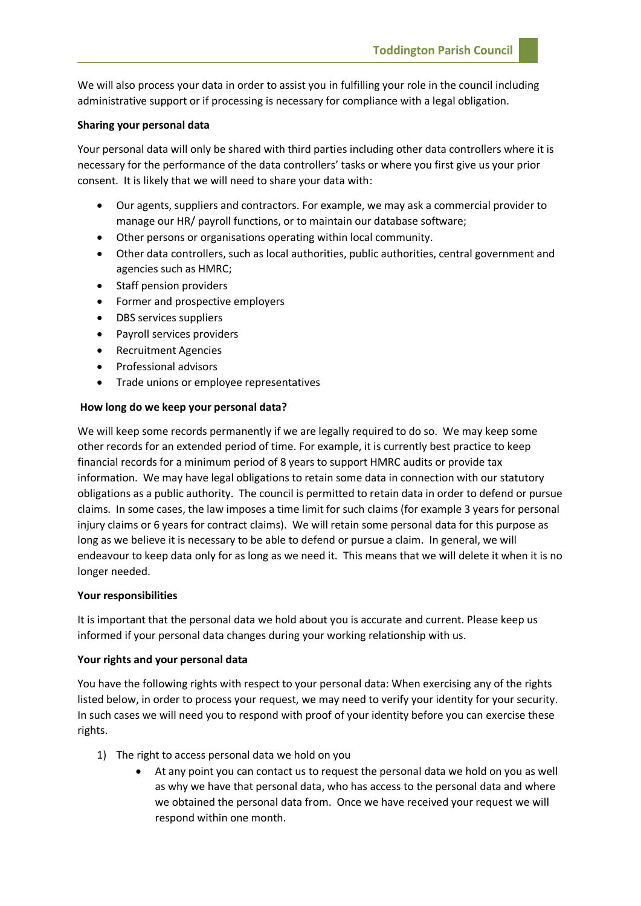We will also process your data in order to assist you in fulfilling your role in the council including administrative support or if processing is necessary for compliance with a legal obligation.

## **Sharing your personal data**

Your personal data will only be shared with third parties including other data controllers where it is necessary for the performance of the data controllers' tasks or where you first give us your prior consent. It is likely that we will need to share your data with:

- Our agents, suppliers and contractors. For example, we may ask a commercial provider to manage our HR/ payroll functions, or to maintain our database software;
- Other persons or organisations operating within local community.
- Other data controllers, such as local authorities, public authorities, central government and agencies such as HMRC;
- Staff pension providers
- Former and prospective employers
- DBS services suppliers
- Payroll services providers
- Recruitment Agencies
- Professional advisors
- Trade unions or employee representatives

## **How long do we keep your personal data?**

We will keep some records permanently if we are legally required to do so. We may keep some other records for an extended period of time. For example, it is currently best practice to keep financial records for a minimum period of 8 years to support HMRC audits or provide tax information. We may have legal obligations to retain some data in connection with our statutory obligations as a public authority. The council is permitted to retain data in order to defend or pursue claims. In some cases, the law imposes a time limit for such claims (for example 3 years for personal injury claims or 6 years for contract claims). We will retain some personal data for this purpose as long as we believe it is necessary to be able to defend or pursue a claim. In general, we will endeavour to keep data only for as long as we need it. This means that we will delete it when it is no longer needed.

#### **Your responsibilities**

It is important that the personal data we hold about you is accurate and current. Please keep us informed if your personal data changes during your working relationship with us.

# **Your rights and your personal data**

You have the following rights with respect to your personal data: When exercising any of the rights listed below, in order to process your request, we may need to verify your identity for your security. In such cases we will need you to respond with proof of your identity before you can exercise these rights.

- 1) The right to access personal data we hold on you
	- At any point you can contact us to request the personal data we hold on you as well as why we have that personal data, who has access to the personal data and where we obtained the personal data from. Once we have received your request we will respond within one month.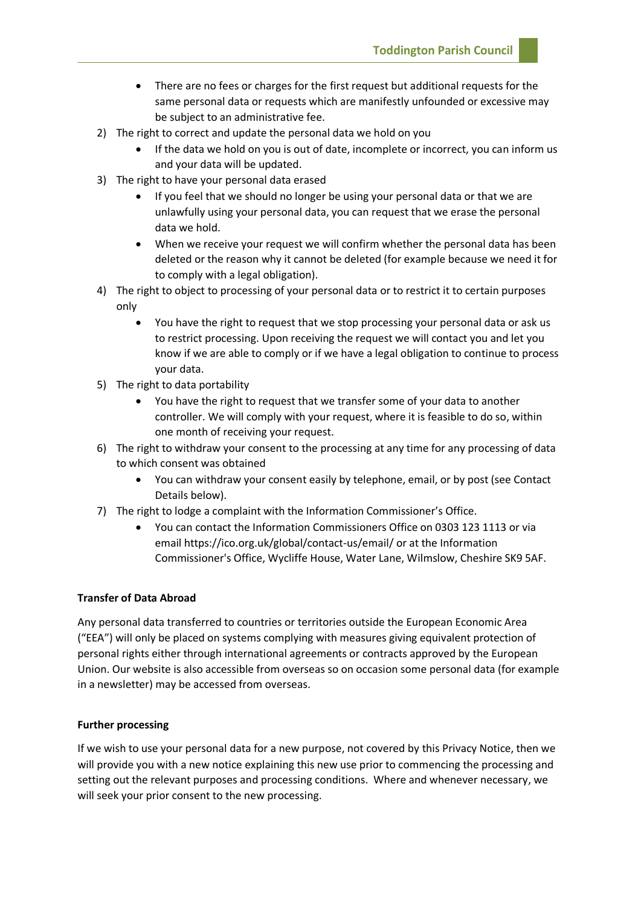**Toddington Parish Council**

- There are no fees or charges for the first request but additional requests for the same personal data or requests which are manifestly unfounded or excessive may be subject to an administrative fee.
- 2) The right to correct and update the personal data we hold on you
	- If the data we hold on you is out of date, incomplete or incorrect, you can inform us and your data will be updated.
- 3) The right to have your personal data erased
	- If you feel that we should no longer be using your personal data or that we are unlawfully using your personal data, you can request that we erase the personal data we hold.
	- When we receive your request we will confirm whether the personal data has been deleted or the reason why it cannot be deleted (for example because we need it for to comply with a legal obligation).
- 4) The right to object to processing of your personal data or to restrict it to certain purposes only
	- You have the right to request that we stop processing your personal data or ask us to restrict processing. Upon receiving the request we will contact you and let you know if we are able to comply or if we have a legal obligation to continue to process your data.
- 5) The right to data portability
	- You have the right to request that we transfer some of your data to another controller. We will comply with your request, where it is feasible to do so, within one month of receiving your request.
- 6) The right to withdraw your consent to the processing at any time for any processing of data to which consent was obtained
	- You can withdraw your consent easily by telephone, email, or by post (see Contact Details below).
- 7) The right to lodge a complaint with the Information Commissioner's Office.
	- You can contact the Information Commissioners Office on 0303 123 1113 or via email https://ico.org.uk/global/contact-us/email/ or at the Information Commissioner's Office, Wycliffe House, Water Lane, Wilmslow, Cheshire SK9 5AF.

# **Transfer of Data Abroad**

Any personal data transferred to countries or territories outside the European Economic Area ("EEA") will only be placed on systems complying with measures giving equivalent protection of personal rights either through international agreements or contracts approved by the European Union. Our website is also accessible from overseas so on occasion some personal data (for example in a newsletter) may be accessed from overseas.

# **Further processing**

If we wish to use your personal data for a new purpose, not covered by this Privacy Notice, then we will provide you with a new notice explaining this new use prior to commencing the processing and setting out the relevant purposes and processing conditions. Where and whenever necessary, we will seek your prior consent to the new processing.